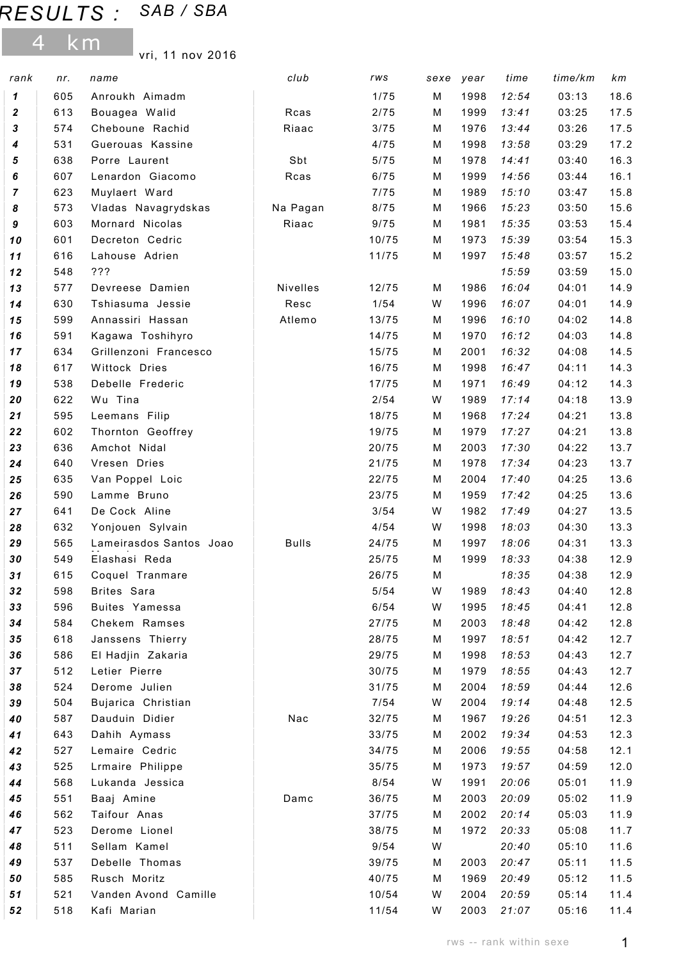## RESULTS : SAB / SBA

4 km

vri, 11 nov 2016

| rank             | nr.        | name                                  | club         | rws           | sexe   | year         | time           | time/km        | km           |
|------------------|------------|---------------------------------------|--------------|---------------|--------|--------------|----------------|----------------|--------------|
| 1                | 605        | Anroukh Aimadm                        |              | 1/75          | м      | 1998         | 12:54          | 03:13          | 18.6         |
| $\boldsymbol{2}$ | 613        | Bouagea Walid                         | Rcas         | 2/75          | M      | 1999         | 13:41          | 03:25          | 17.5         |
| 3                | 574        | Cheboune Rachid                       | Riaac        | 3/75          | М      | 1976         | 13:44          | 03:26          | 17.5         |
| 4                | 531        | Guerouas Kassine                      |              | 4/75          | м      | 1998         | 13:58          | 03:29          | 17.2         |
| 5                | 638        | Porre Laurent                         | Sbt          | 5/75          | М      | 1978         | 14:41          | 03:40          | 16.3         |
| 6                | 607        | Lenardon Giacomo                      | Rcas         | 6/75          | м      | 1999         | 14:56          | 03:44          | 16.1         |
| 7                | 623        | Muylaert Ward                         |              | 7/75          | М      | 1989         | 15:10          | 03:47          | 15.8         |
| 8                | 573        | Vladas Navagrydskas                   | Na Pagan     | 8/75          | м      | 1966         | 15:23          | 03:50          | 15.6         |
| 9                | 603        | Mornard Nicolas                       | Riaac        | 9/75          | М      | 1981         | 15:35          | 03:53          | 15.4         |
| 10               | 601        | Decreton Cedric                       |              | 10/75         | М      | 1973         | 15:39          | 03:54          | 15.3         |
| 11               | 616        | Lahouse Adrien                        |              | 11/75         | м      | 1997         | 15:48          | 03:57          | 15.2         |
| 12               | 548        | ???                                   |              |               |        |              | 15:59          | 03:59          | 15.0         |
| 13               | 577        | Devreese Damien                       | Nivelles     | 12/75         | м      | 1986         | 16:04          | 04:01          | 14.9         |
| 14               | 630        | Tshiasuma Jessie                      | Resc         | 1/54          | W      | 1996         | 16:07          | 04:01          | 14.9         |
| 15               | 599        | Annassiri Hassan                      | Atlemo       | 13/75         | м      | 1996         | 16:10          | 04:02          | 14.8         |
| 16               | 591        | Kagawa Toshihyro                      |              | 14/75         | м      | 1970         | 16:12          | 04:03          | 14.8         |
| 17               | 634        | Grillenzoni Francesco                 |              | 15/75         | м      | 2001         | 16:32          | 04:08          | 14.5         |
| 18               | 617        | Wittock Dries                         |              | 16/75         | м      | 1998         | 16:47          | 04:11          | 14.3         |
| 19               | 538        | Debelle Frederic                      |              | 17/75         | М      | 1971         | 16:49          | 04:12          | 14.3         |
| 20               | 622        | Wu Tina                               |              | 2/54          | W      | 1989         | 17:14          | 04:18          | 13.9         |
| 21               | 595        | Leemans Filip                         |              | 18/75         | М      | 1968         | 17:24          | 04:21          | 13.8         |
| 22               | 602        | Thornton Geoffrey                     |              | 19/75         | м      | 1979         | 17:27          | 04:21          | 13.8         |
| 23               | 636        | Amchot Nidal                          |              | 20/75         | м      | 2003         | 17:30          | 04:22          | 13.7         |
| 24               | 640        | Vresen Dries                          |              | 21/75         | м      | 1978         | 17:34          | 04:23          | 13.7         |
| 25               | 635        | Van Poppel Loic                       |              | 22/75         | м      | 2004         | 17:40          | 04:25          | 13.6         |
| 26               | 590        | Lamme Bruno                           |              | 23/75         | М      | 1959         | 17:42          | 04:25          | 13.6         |
| 27               | 641        | De Cock Aline                         |              | 3/54          | W      | 1982         | 17:49          | 04:27          | 13.5         |
| 28               | 632        | Yonjouen Sylvain                      |              | 4/54          | W      | 1998         | 18:03          | 04:30          | 13.3         |
| 29               | 565        | Lameirasdos Santos Joao               | <b>Bulls</b> | 24/75         | М      | 1997         | 18:06          | 04:31          | 13.3         |
| 30               | 549        | Elashasi Reda                         |              | 25/75         | М      | 1999         | 18:33          | 04:38          | 12.9         |
| 31               | 615        | Coquel Tranmare                       |              | 26/75         | M      |              | 18:35          | 04:38          | 12.9         |
| 32               | 598        | Brites Sara                           |              | 5/54          | W      | 1989         | 18:43          | 04:40          | 12.8         |
| 33               | 596<br>584 | Buites Yamessa<br>Chekem Ramses       |              | 6/54<br>27/75 | W      | 1995<br>2003 | 18:45          | 04:41          | 12.8         |
| 34               | 618        |                                       |              | 28/75         | M      | 1997         | 18:48          | 04:42          | 12.8<br>12.7 |
| 35<br>36         | 586        | Janssens Thierry<br>El Hadjin Zakaria |              | 29/75         | М<br>М | 1998         | 18:51<br>18:53 | 04:42<br>04:43 | 12.7         |
| 37               | 512        | Letier Pierre                         |              | 30/75         | М      | 1979         | 18:55          | 04:43          | 12.7         |
| 38               | 524        | Derome Julien                         |              | 31/75         | М      | 2004         | 18:59          | 04:44          | 12.6         |
| 39               | 504        | Bujarica Christian                    |              | 7/54          | W      | 2004         | 19:14          | 04:48          | 12.5         |
| 40               | 587        | Dauduin Didier                        | Nac          | 32/75         | м      | 1967         | 19:26          | 04:51          | 12.3         |
| 41               | 643        | Dahih Aymass                          |              | 33/75         | М      | 2002         | 19:34          | 04:53          | 12.3         |
| 42               | 527        | Lemaire Cedric                        |              | 34/75         | М      | 2006         | 19:55          | 04:58          | 12.1         |
| 43               | 525        | Lrmaire Philippe                      |              | 35/75         | М      | 1973         | 19:57          | 04:59          | 12.0         |
| 44               | 568        | Lukanda Jessica                       |              | 8/54          | W      | 1991         | 20:06          | 05:01          | 11.9         |
| 45               | 551        | Baaj Amine                            | Damc         | 36/75         | М      | 2003         | 20:09          | 05:02          | 11.9         |
| 46               | 562        | Taifour Anas                          |              | 37/75         | м      | 2002         | 20:14          | 05:03          | 11.9         |
| 47               | 523        | Derome Lionel                         |              | 38/75         | м      | 1972         | 20:33          | 05:08          | 11.7         |
| 48               | 511        | Sellam Kamel                          |              | 9/54          | W      |              | 20:40          | 05:10          | 11.6         |
| 49               | 537        | Debelle Thomas                        |              | 39/75         | М      | 2003         | 20:47          | 05:11          | 11.5         |
| 50               | 585        | Rusch Moritz                          |              | 40/75         | м      | 1969         | 20:49          | 05:12          | 11.5         |
| 51               | 521        | Vanden Avond Camille                  |              | 10/54         | W      | 2004         | 20:59          | 05:14          | 11.4         |
| 52               | 518        | Kafi Marian                           |              | 11/54         | W      | 2003         | 21:07          | 05:16          | 11.4         |
|                  |            |                                       |              |               |        |              |                |                |              |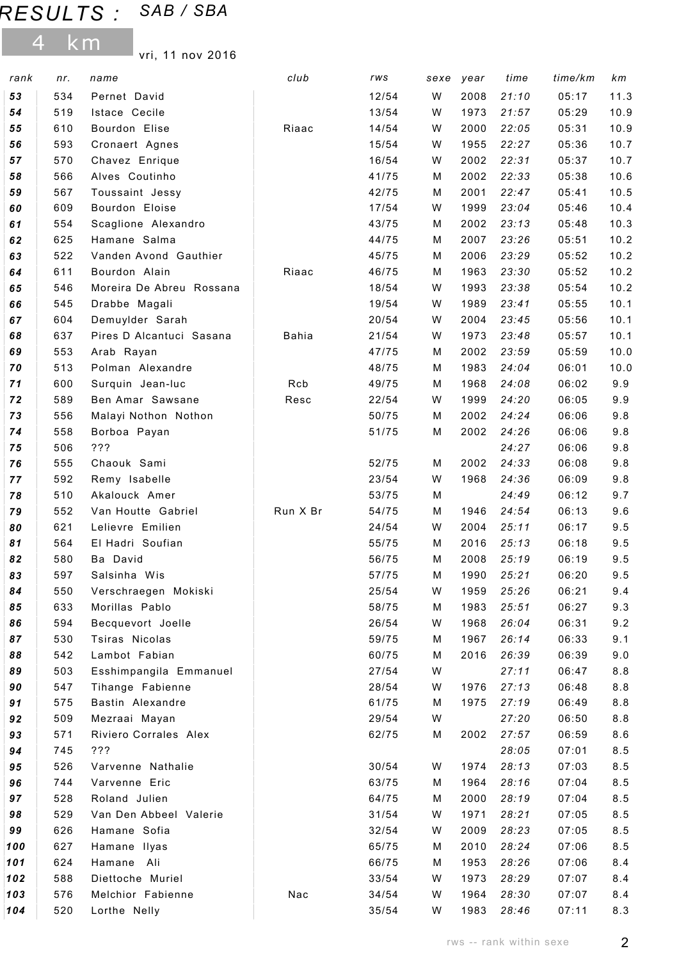## RESULTS : SAB / SBA

4 km

vri, 11 nov 2016

| rank     | nr.        | name                                | club         | rws            | sexe   | year         | time           | time/km        | km         |
|----------|------------|-------------------------------------|--------------|----------------|--------|--------------|----------------|----------------|------------|
| 53       | 534        | Pernet David                        |              | 12/54          | W      | 2008         | 21:10          | 05:17          | 11.3       |
| 54       | 519        | Istace Cecile                       |              | 13/54          | W      | 1973         | 21:57          | 05:29          | 10.9       |
| 55       | 610        | Bourdon Elise                       | Riaac        | 14/54          | W      | 2000         | 22:05          | 05:31          | 10.9       |
| 56       | 593        | Cronaert Agnes                      |              | 15/54          | W      | 1955         | 22:27          | 05:36          | 10.7       |
| 57       | 570        | Chavez Enrique                      |              | 16/54          | W      | 2002         | 22:31          | 05:37          | 10.7       |
| 58       | 566        | Alves Coutinho                      |              | 41/75          | М      | 2002         | 22:33          | 05:38          | 10.6       |
| 59       | 567        | Toussaint Jessy                     |              | 42/75          | М      | 2001         | 22:47          | 05:41          | 10.5       |
| 60       | 609        | Bourdon Eloise                      |              | 17/54          | W      | 1999         | 23:04          | 05:46          | 10.4       |
| 61       | 554        | Scaglione Alexandro                 |              | 43/75          | М      | 2002         | 23:13          | 05:48          | 10.3       |
| 62       | 625        | Hamane Salma                        |              | 44/75          | М      | 2007         | 23:26          | 05:51          | 10.2       |
| 63       | 522        | Vanden Avond Gauthier               |              | 45/75          | М      | 2006         | 23:29          | 05:52          | 10.2       |
| 64       | 611        | Bourdon Alain                       | Riaac        | 46/75          | М      | 1963         | 23:30          | 05:52          | 10.2       |
| 65       | 546        | Moreira De Abreu Rossana            |              | 18/54          | W      | 1993         | 23:38          | 05:54          | 10.2       |
| 66       | 545        | Drabbe Magali                       |              | 19/54          | W      | 1989         | 23:41          | 05:55          | 10.1       |
| 67       | 604        | Demuylder Sarah                     |              | 20/54          | W      | 2004         | 23:45          | 05:56          | 10.1       |
| 68       | 637        | Pires D Alcantuci Sasana            | <b>Bahia</b> | 21/54          | W      | 1973         | 23:48          | 05:57          | 10.1       |
| 69       | 553        | Arab Rayan                          |              | 47/75          | М      | 2002         | 23:59          | 05:59          | 10.0       |
| 70       | 513        | Polman Alexandre                    |              | 48/75          | М      | 1983         | 24:04          | 06:01          | 10.0       |
| 71       | 600        | Surquin Jean-luc                    | Rcb          | 49/75          | М      | 1968         | 24:08          | 06:02          | 9.9        |
| 72       | 589        | Ben Amar Sawsane                    | Resc         | 22/54          | W      | 1999         | 24:20          | 06:05          | 9.9        |
| 73       | 556        | Malayi Nothon Nothon                |              | 50/75          | М      | 2002         | 24:24          | 06:06          | 9.8        |
| 74       | 558        | Borboa Payan                        |              | 51/75          | М      | 2002         | 24:26          | 06:06          | 9.8        |
| 75       | 506        | ???                                 |              |                |        |              | 24:27          | 06:06          | 9.8        |
| 76       | 555        | Chaouk Sami                         |              | 52/75          | м      | 2002         | 24:33          | 06:08          | 9.8        |
| 77       | 592        | Remy Isabelle                       |              | 23/54          | W      | 1968         | 24:36          | 06:09          | 9.8        |
| 78       | 510        | Akalouck Amer                       |              | 53/75          | м      |              | 24:49          | 06:12          | 9.7        |
| 79       | 552        | Van Houtte Gabriel                  | Run X Br     | 54/75          | М      | 1946         | 24:54          | 06:13          | 9.6        |
| 80       | 621        | Lelievre Emilien                    |              | 24/54          | W      | 2004         | 25:11          | 06:17          | 9.5        |
| 81       | 564        | El Hadri Soufian                    |              | 55/75          | М      | 2016         | 25:13          | 06:18          | 9.5        |
| 82       | 580        | Ba David                            |              | 56/75          | м      | 2008         | 25:19          | 06:19          | 9.5        |
| 83       | 597        | Salsinha Wis                        |              | 57/75          | м      | 1990         | 25:21          | 06:20          | 9.5        |
| 84       | 550        | Verschraegen Mokiski                |              | 25/54          | W      | 1959         | 25:26          | 06:21          | 9.4        |
| 85       | 633<br>594 | Morillas Pablo                      |              | 58/75<br>26/54 | м<br>W | 1983<br>1968 | 25:51<br>26:04 | 06:27<br>06:31 | 9.3<br>9.2 |
| 86<br>87 | 530        | Becquevort Joelle<br>Tsiras Nicolas |              | 59/75          |        | 1967         | 26:14          |                |            |
| 88       | 542        | Lambot Fabian                       |              | 60/75          | м<br>М | 2016         | 26:39          | 06:33<br>06:39 | 9.1<br>9.0 |
| 89       | 503        | Esshimpangila Emmanuel              |              | 27/54          | W      |              | 27:11          | 06:47          | 8.8        |
| 90       | 547        | Tihange Fabienne                    |              | 28/54          | W      | 1976         | 27:13          | 06:48          | 8.8        |
| 91       | 575        | Bastin Alexandre                    |              | 61/75          | М      | 1975         | 27:19          | 06:49          | 8.8        |
| 92       | 509        | Mezraai Mayan                       |              | 29/54          | W      |              | 27:20          | 06:50          | 8.8        |
| 93       | 571        | Riviero Corrales Alex               |              | 62/75          | М      | 2002         | 27:57          | 06:59          | 8.6        |
| 94       | 745        | ???                                 |              |                |        |              | 28:05          | 07:01          | 8.5        |
| 95       | 526        | Varvenne Nathalie                   |              | 30/54          | W      | 1974         | 28:13          | 07:03          | 8.5        |
| 96       | 744        | Varvenne Eric                       |              | 63/75          | м      | 1964         | 28:16          | 07:04          | 8.5        |
| 97       | 528        | Roland Julien                       |              | 64/75          | М      | 2000         | 28:19          | 07:04          | 8.5        |
| 98       | 529        | Van Den Abbeel Valerie              |              | 31/54          | W      | 1971         | 28:21          | 07:05          | 8.5        |
| 99       | 626        | Hamane Sofia                        |              | 32/54          | W      | 2009         | 28:23          | 07:05          | 8.5        |
| 100      | 627        | Hamane Ilyas                        |              | 65/75          | м      | 2010         | 28:24          | 07:06          | 8.5        |
| 101      | 624        | Hamane Ali                          |              | 66/75          | М      | 1953         | 28:26          | 07:06          | 8.4        |
| 102      | 588        | Diettoche Muriel                    |              | 33/54          | W      | 1973         | 28:29          | 07:07          | 8.4        |
| 103      | 576        | Melchior Fabienne                   | Nac          | 34/54          | W      | 1964         | 28:30          | 07:07          | 8.4        |
| 104      | 520        | Lorthe Nelly                        |              | 35/54          | W      | 1983         | 28:46          | 07:11          | 8.3        |
|          |            |                                     |              |                |        |              |                |                |            |